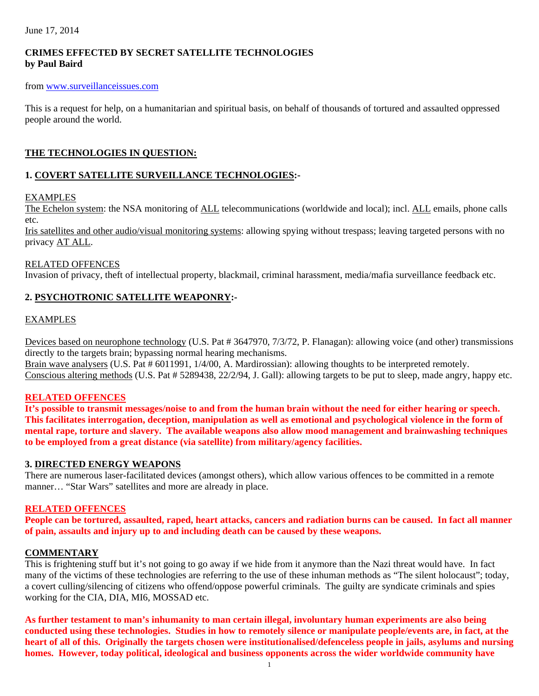June 17, 2014

## **CRIMES EFFECTED BY SECRET SATELLITE TECHNOLOGIES by Paul Baird**

### from www.surveillanceissues.com

This is a request for help, on a humanitarian and spiritual basis, on behalf of thousands of tortured and assaulted oppressed people around the world.

## **THE TECHNOLOGIES IN QUESTION:**

## **1. COVERT SATELLITE SURVEILLANCE TECHNOLOGIES:-**

## EXAMPLES

The Echelon system: the NSA monitoring of ALL telecommunications (worldwide and local); incl. ALL emails, phone calls etc.

Iris satellites and other audio/visual monitoring systems: allowing spying without trespass; leaving targeted persons with no privacy AT ALL.

#### RELATED OFFENCES

Invasion of privacy, theft of intellectual property, blackmail, criminal harassment, media/mafia surveillance feedback etc.

## **2. PSYCHOTRONIC SATELLITE WEAPONRY:-**

#### EXAMPLES

Devices based on neurophone technology (U.S. Pat # 3647970, 7/3/72, P. Flanagan): allowing voice (and other) transmissions directly to the targets brain; bypassing normal hearing mechanisms.

Brain wave analysers (U.S. Pat # 6011991, 1/4/00, A. Mardirossian): allowing thoughts to be interpreted remotely. Conscious altering methods (U.S. Pat # 5289438, 22/2/94, J. Gall): allowing targets to be put to sleep, made angry, happy etc.

## **RELATED OFFENCES**

**It's possible to transmit messages/noise to and from the human brain without the need for either hearing or speech. This facilitates interrogation, deception, manipulation as well as emotional and psychological violence in the form of mental rape, torture and slavery. The available weapons also allow mood management and brainwashing techniques to be employed from a great distance (via satellite) from military/agency facilities.** 

## **3. DIRECTED ENERGY WEAPONS**

There are numerous laser-facilitated devices (amongst others), which allow various offences to be committed in a remote manner… "Star Wars" satellites and more are already in place.

## **RELATED OFFENCES**

**People can be tortured, assaulted, raped, heart attacks, cancers and radiation burns can be caused. In fact all manner of pain, assaults and injury up to and including death can be caused by these weapons.** 

#### **COMMENTARY**

This is frightening stuff but it's not going to go away if we hide from it anymore than the Nazi threat would have. In fact many of the victims of these technologies are referring to the use of these inhuman methods as "The silent holocaust"; today, a covert culling/silencing of citizens who offend/oppose powerful criminals. The guilty are syndicate criminals and spies working for the CIA, DIA, MI6, MOSSAD etc.

**As further testament to man's inhumanity to man certain illegal, involuntary human experiments are also being conducted using these technologies. Studies in how to remotely silence or manipulate people/events are, in fact, at the heart of all of this. Originally the targets chosen were institutionalised/defenceless people in jails, asylums and nursing homes. However, today political, ideological and business opponents across the wider worldwide community have**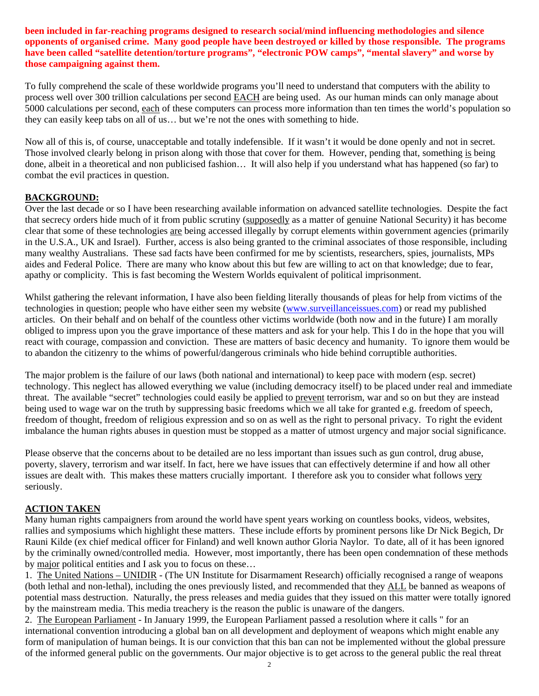**been included in far-reaching programs designed to research social/mind influencing methodologies and silence opponents of organised crime. Many good people have been destroyed or killed by those responsible. The programs have been called "satellite detention/torture programs", "electronic POW camps", "mental slavery" and worse by those campaigning against them.** 

To fully comprehend the scale of these worldwide programs you'll need to understand that computers with the ability to process well over 300 trillion calculations per second EACH are being used. As our human minds can only manage about 5000 calculations per second, each of these computers can process more information than ten times the world's population so they can easily keep tabs on all of us… but we're not the ones with something to hide.

Now all of this is, of course, unacceptable and totally indefensible. If it wasn't it would be done openly and not in secret. Those involved clearly belong in prison along with those that cover for them. However, pending that, something is being done, albeit in a theoretical and non publicised fashion… It will also help if you understand what has happened (so far) to combat the evil practices in question.

## **BACKGROUND:**

Over the last decade or so I have been researching available information on advanced satellite technologies. Despite the fact that secrecy orders hide much of it from public scrutiny (supposedly as a matter of genuine National Security) it has become clear that some of these technologies are being accessed illegally by corrupt elements within government agencies (primarily in the U.S.A., UK and Israel). Further, access is also being granted to the criminal associates of those responsible, including many wealthy Australians. These sad facts have been confirmed for me by scientists, researchers, spies, journalists, MPs aides and Federal Police. There are many who know about this but few are willing to act on that knowledge; due to fear, apathy or complicity. This is fast becoming the Western Worlds equivalent of political imprisonment.

Whilst gathering the relevant information, I have also been fielding literally thousands of pleas for help from victims of the technologies in question; people who have either seen my website (www.surveillanceissues.com) or read my published articles. On their behalf and on behalf of the countless other victims worldwide (both now and in the future) I am morally obliged to impress upon you the grave importance of these matters and ask for your help. This I do in the hope that you will react with courage, compassion and conviction. These are matters of basic decency and humanity. To ignore them would be to abandon the citizenry to the whims of powerful/dangerous criminals who hide behind corruptible authorities.

The major problem is the failure of our laws (both national and international) to keep pace with modern (esp. secret) technology. This neglect has allowed everything we value (including democracy itself) to be placed under real and immediate threat. The available "secret" technologies could easily be applied to prevent terrorism, war and so on but they are instead being used to wage war on the truth by suppressing basic freedoms which we all take for granted e.g. freedom of speech, freedom of thought, freedom of religious expression and so on as well as the right to personal privacy. To right the evident imbalance the human rights abuses in question must be stopped as a matter of utmost urgency and major social significance.

Please observe that the concerns about to be detailed are no less important than issues such as gun control, drug abuse, poverty, slavery, terrorism and war itself. In fact, here we have issues that can effectively determine if and how all other issues are dealt with. This makes these matters crucially important. I therefore ask you to consider what follows very seriously.

## **ACTION TAKEN**

Many human rights campaigners from around the world have spent years working on countless books, videos, websites, rallies and symposiums which highlight these matters. These include efforts by prominent persons like Dr Nick Begich, Dr Rauni Kilde (ex chief medical officer for Finland) and well known author Gloria Naylor. To date, all of it has been ignored by the criminally owned/controlled media. However, most importantly, there has been open condemnation of these methods by major political entities and I ask you to focus on these…

1. The United Nations – UNIDIR - (The UN Institute for Disarmament Research) officially recognised a range of weapons (both lethal and non-lethal), including the ones previously listed, and recommended that they ALL be banned as weapons of potential mass destruction. Naturally, the press releases and media guides that they issued on this matter were totally ignored by the mainstream media. This media treachery is the reason the public is unaware of the dangers.

2. The European Parliament - In January 1999, the European Parliament passed a resolution where it calls " for an international convention introducing a global ban on all development and deployment of weapons which might enable any form of manipulation of human beings. It is our conviction that this ban can not be implemented without the global pressure of the informed general public on the governments. Our major objective is to get across to the general public the real threat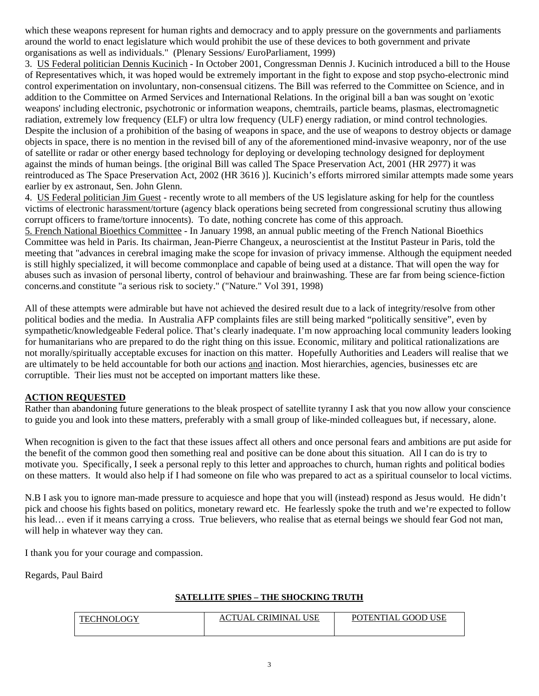which these weapons represent for human rights and democracy and to apply pressure on the governments and parliaments around the world to enact legislature which would prohibit the use of these devices to both government and private organisations as well as individuals." (Plenary Sessions/ EuroParliament, 1999)

3. US Federal politician Dennis Kucinich - In October 2001, Congressman Dennis J. Kucinich introduced a bill to the House of Representatives which, it was hoped would be extremely important in the fight to expose and stop psycho-electronic mind control experimentation on involuntary, non-consensual citizens. The Bill was referred to the Committee on Science, and in addition to the Committee on Armed Services and International Relations. In the original bill a ban was sought on 'exotic weapons' including electronic, psychotronic or information weapons, chemtrails, particle beams, plasmas, electromagnetic radiation, extremely low frequency (ELF) or ultra low frequency (ULF) energy radiation, or mind control technologies. Despite the inclusion of a prohibition of the basing of weapons in space, and the use of weapons to destroy objects or damage objects in space, there is no mention in the revised bill of any of the aforementioned mind-invasive weaponry, nor of the use of satellite or radar or other energy based technology for deploying or developing technology designed for deployment against the minds of human beings. [the original Bill was called The Space Preservation Act, 2001 (HR 2977) it was reintroduced as The Space Preservation Act, 2002 (HR 3616 )]. Kucinich's efforts mirrored similar attempts made some years earlier by ex astronaut, Sen. John Glenn.

4. US Federal politician Jim Guest - recently wrote to all members of the US legislature asking for help for the countless victims of electronic harassment/torture (agency black operations being secreted from congressional scrutiny thus allowing corrupt officers to frame/torture innocents). To date, nothing concrete has come of this approach.

5. French National Bioethics Committee - In January 1998, an annual public meeting of the French National Bioethics Committee was held in Paris. Its chairman, Jean-Pierre Changeux, a neuroscientist at the Institut Pasteur in Paris, told the meeting that "advances in cerebral imaging make the scope for invasion of privacy immense. Although the equipment needed is still highly specialized, it will become commonplace and capable of being used at a distance. That will open the way for abuses such as invasion of personal liberty, control of behaviour and brainwashing. These are far from being science-fiction concerns.and constitute "a serious risk to society." ("Nature." Vol 391, 1998)

All of these attempts were admirable but have not achieved the desired result due to a lack of integrity/resolve from other political bodies and the media. In Australia AFP complaints files are still being marked "politically sensitive", even by sympathetic/knowledgeable Federal police. That's clearly inadequate. I'm now approaching local community leaders looking for humanitarians who are prepared to do the right thing on this issue. Economic, military and political rationalizations are not morally/spiritually acceptable excuses for inaction on this matter. Hopefully Authorities and Leaders will realise that we are ultimately to be held accountable for both our actions and inaction. Most hierarchies, agencies, businesses etc are corruptible. Their lies must not be accepted on important matters like these.

## **ACTION REQUESTED**

Rather than abandoning future generations to the bleak prospect of satellite tyranny I ask that you now allow your conscience to guide you and look into these matters, preferably with a small group of like-minded colleagues but, if necessary, alone.

When recognition is given to the fact that these issues affect all others and once personal fears and ambitions are put aside for the benefit of the common good then something real and positive can be done about this situation. All I can do is try to motivate you. Specifically, I seek a personal reply to this letter and approaches to church, human rights and political bodies on these matters. It would also help if I had someone on file who was prepared to act as a spiritual counselor to local victims.

N.B I ask you to ignore man-made pressure to acquiesce and hope that you will (instead) respond as Jesus would. He didn't pick and choose his fights based on politics, monetary reward etc. He fearlessly spoke the truth and we're expected to follow his lead... even if it means carrying a cross. True believers, who realise that as eternal beings we should fear God not man, will help in whatever way they can.

I thank you for your courage and compassion.

Regards, Paul Baird

## **SATELLITE SPIES – THE SHOCKING TRUTH**

| 'HNOLOGY<br>$THC$ . | <b>USE</b><br><b>CRIMINAL</b><br>`U A L<br>AC | <b>USE</b><br>. GOOD<br><b>TENTIAL</b><br>P∩¶ |
|---------------------|-----------------------------------------------|-----------------------------------------------|
|                     |                                               |                                               |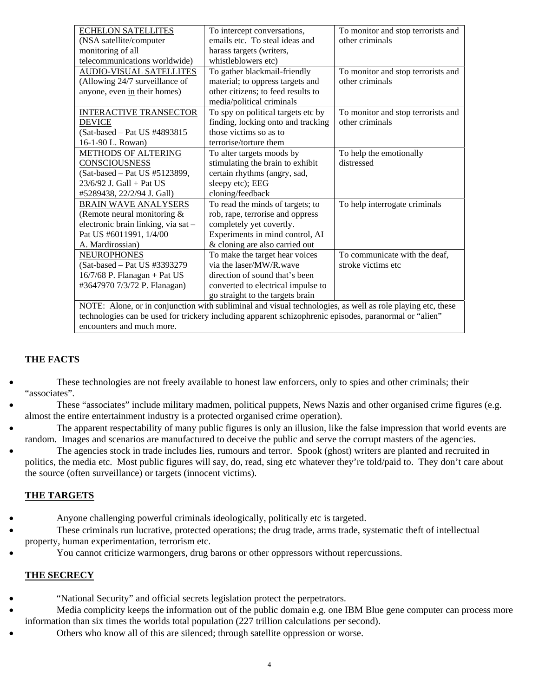| <b>ECHELON SATELLITES</b>                                                                                  | To intercept conversations,        | To monitor and stop terrorists and |  |
|------------------------------------------------------------------------------------------------------------|------------------------------------|------------------------------------|--|
| (NSA satellite/computer                                                                                    | emails etc. To steal ideas and     | other criminals                    |  |
| monitoring of all                                                                                          | harass targets (writers,           |                                    |  |
| telecommunications worldwide)                                                                              | whistleblowers etc)                |                                    |  |
| <b>AUDIO-VISUAL SATELLITES</b>                                                                             | To gather blackmail-friendly       | To monitor and stop terrorists and |  |
| (Allowing 24/7 surveillance of                                                                             | material; to oppress targets and   | other criminals                    |  |
| anyone, even in their homes)                                                                               | other citizens; to feed results to |                                    |  |
|                                                                                                            | media/political criminals          |                                    |  |
| <b>INTERACTIVE TRANSECTOR</b>                                                                              | To spy on political targets etc by | To monitor and stop terrorists and |  |
| <b>DEVICE</b>                                                                                              | finding, locking onto and tracking | other criminals                    |  |
| (Sat-based - Pat US #4893815)                                                                              | those victims so as to             |                                    |  |
| 16-1-90 L. Rowan)                                                                                          | terrorise/torture them             |                                    |  |
| <b>METHODS OF ALTERING</b>                                                                                 | To alter targets moods by          | To help the emotionally            |  |
| CONSCIOUSNESS                                                                                              | stimulating the brain to exhibit   | distressed                         |  |
| (Sat-based - Pat US #5123899,                                                                              | certain rhythms (angry, sad,       |                                    |  |
| 23/6/92 J. Gall + Pat US                                                                                   | sleepy etc); EEG                   |                                    |  |
| #5289438, 22/2/94 J. Gall)                                                                                 | cloning/feedback                   |                                    |  |
| <b>BRAIN WAVE ANALYSERS</b>                                                                                | To read the minds of targets; to   | To help interrogate criminals      |  |
| (Remote neural monitoring $&$                                                                              | rob, rape, terrorise and oppress   |                                    |  |
| electronic brain linking, via sat-                                                                         | completely yet covertly.           |                                    |  |
| Pat US #6011991, 1/4/00                                                                                    | Experiments in mind control, AI    |                                    |  |
| A. Mardirossian)                                                                                           | & cloning are also carried out     |                                    |  |
| <b>NEUROPHONES</b>                                                                                         | To make the target hear voices     | To communicate with the deaf,      |  |
| (Sat-based - Pat US #3393279)                                                                              | via the laser/MW/R, wave           | stroke victims etc                 |  |
| $16/7/68$ P. Flanagan + Pat US                                                                             | direction of sound that's been     |                                    |  |
| #3647970 7/3/72 P. Flanagan)                                                                               | converted to electrical impulse to |                                    |  |
|                                                                                                            | go straight to the targets brain   |                                    |  |
| NOTE: Alone, or in conjunction with subliminal and visual technologies, as well as role playing etc, these |                                    |                                    |  |

technologies can be used for trickery including apparent schizophrenic episodes, paranormal or "alien" encounters and much more.

# **THE FACTS**

- These technologies are not freely available to honest law enforcers, only to spies and other criminals; their "associates".
- These "associates" include military madmen, political puppets, News Nazis and other organised crime figures (e.g. almost the entire entertainment industry is a protected organised crime operation).
- The apparent respectability of many public figures is only an illusion, like the false impression that world events are random. Images and scenarios are manufactured to deceive the public and serve the corrupt masters of the agencies.
- The agencies stock in trade includes lies, rumours and terror. Spook (ghost) writers are planted and recruited in politics, the media etc. Most public figures will say, do, read, sing etc whatever they're told/paid to. They don't care about the source (often surveillance) or targets (innocent victims).

# **THE TARGETS**

- Anyone challenging powerful criminals ideologically, politically etc is targeted.
- These criminals run lucrative, protected operations; the drug trade, arms trade, systematic theft of intellectual property, human experimentation, terrorism etc.
	- You cannot criticize warmongers, drug barons or other oppressors without repercussions.

# **THE SECRECY**

- "National Security" and official secrets legislation protect the perpetrators.
- Media complicity keeps the information out of the public domain e.g. one IBM Blue gene computer can process more information than six times the worlds total population (227 trillion calculations per second).
	- Others who know all of this are silenced; through satellite oppression or worse.